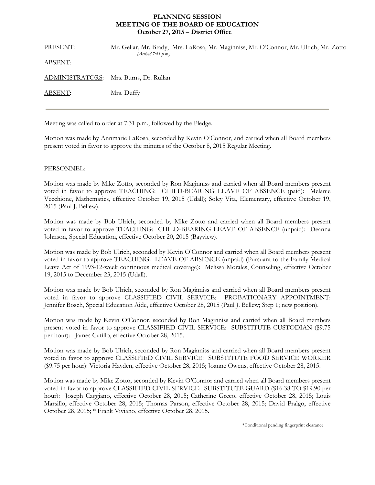## **MEETING OF THE BOARD OF EDUCATION PLANNING SESSION October 27, 2015 – District Office**

PRESENT: Mr. Gellar, Mr. Brady, Mrs. LaRosa, Mr. Maginniss, Mr. O'Connor, Mr. Ulrich, Mr. Zotto *(Arrived 7:41 p.m.)*  ABSENT: ADMINISTRATORS: Mrs. Burns, Dr. Rullan ABSENT: Mrs. Duffy

Meeting was called to order at 7:31 p.m., followed by the Pledge.

Motion was made by Annmarie LaRosa, seconded by Kevin O'Connor, and carried when all Board members present voted in favor to approve the minutes of the October 8, 2015 Regular Meeting.

## PERSONNEL:

Motion was made by Mike Zotto, seconded by Ron Maginniss and carried when all Board members present voted in favor to approve TEACHING: CHILD-BEARING LEAVE OF ABSENCE (paid): Melanie Vecchione, Mathematics, effective October 19, 2015 (Udall); Soley Vita, Elementary, effective October 19, 2015 (Paul J. Bellew).

Motion was made by Bob Ulrich, seconded by Mike Zotto and carried when all Board members present voted in favor to approve TEACHING: CHILD-BEARING LEAVE OF ABSENCE (unpaid): Deanna Johnson, Special Education, effective October 20, 2015 (Bayview).

Motion was made by Bob Ulrich, seconded by Kevin O'Connor and carried when all Board members present voted in favor to approve TEACHING: LEAVE OF ABSENCE (unpaid) (Pursuant to the Family Medical Leave Act of 1993-12-week continuous medical coverage): Melissa Morales, Counseling, effective October 19, 2015 to December 23, 2015 (Udall).

Motion was made by Bob Ulrich, seconded by Ron Maginniss and carried when all Board members present voted in favor to approve CLASSIFIED CIVIL SERVICE: PROBATIONARY APPOINTMENT: Jennifer Bosch, Special Education Aide, effective October 28, 2015 (Paul J. Bellew; Step 1; new position).

Motion was made by Kevin O'Connor, seconded by Ron Maginniss and carried when all Board members present voted in favor to approve CLASSIFIED CIVIL SERVICE: SUBSTITUTE CUSTODIAN (\$9.75 per hour): James Cutillo, effective October 28, 2015.

Motion was made by Bob Ulrich, seconded by Ron Maginniss and carried when all Board members present voted in favor to approve CLASSIFIED CIVIL SERVICE: SUBSTITUTE FOOD SERVICE WORKER (\$9.75 per hour): Victoria Hayden, effective October 28, 2015; Joanne Owens, effective October 28, 2015.

Motion was made by Mike Zotto, seconded by Kevin O'Connor and carried when all Board members present voted in favor to approve CLASSIFIED CIVIL SERVICE: SUBSTITUTE GUARD (\$16.38 TO \$19.90 per hour): Joseph Caggiano, effective October 28, 2015; Catherine Greco, effective October 28, 2015; Louis Marsillo, effective October 28, 2015; Thomas Parson, effective October 28, 2015; David Pralgo, effective October 28, 2015; \* Frank Viviano, effective October 28, 2015.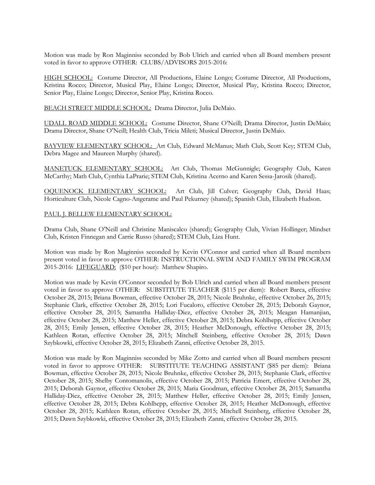Motion was made by Ron Maginniss seconded by Bob Ulrich and carried when all Board members present voted in favor to approve OTHER: CLUBS/ADVISORS 2015-2016:

HIGH SCHOOL: Costume Director, All Productions, Elaine Longo; Costume Director, All Productions, Kristina Rocco; Director, Musical Play, Elaine Longo; Director, Musical Play, Kristina Rocco; Director, Senior Play, Elaine Longo; Director, Senior Play, Kristina Rocco.

BEACH STREET MIDDLE SCHOOL: Drama Director, Julia DeMaio.

UDALL ROAD MIDDLE SCHOOL: Costume Director, Shane O'Neill; Drama Director, Justin DeMaio; Drama Director, Shane O'Neill; Health Club, Tricia Mileti; Musical Director, Justin DeMaio.

BAYVIEW ELEMENTARY SCHOOL: Art Club, Edward McManus; Math Club, Scott Key; STEM Club, Debra Magee and Maureen Murphy (shared).

MANETUCK ELEMENTARY SCHOOL: Art Club, Thomas McGunnigle; Geography Club, Karen McCarthy; Math Club, Cynthia LaPrarie; STEM Club, Kristina Acerno and Karen Sessa-Jarosik (shared).

OQUENOCK ELEMENTARY SCHOOL: Art Club, Jill Culver; Geography Club, David Haas; Horticulture Club, Nicole Cagno-Angerame and Paul Pekurney (shared); Spanish Club, Elizabeth Hudson.

## PAUL J. BELLEW ELEMENTARY SCHOOL:

Drama Club, Shane O'Neill and Christine Maniscalco (shared); Geography Club, Vivian Hollinger; Mindset Club, Kristen Finnegan and Carrie Russo (shared); STEM Club, Liza Hunt.

Motion was made by Ron Maginniss seconded by Kevin O'Connor and carried when all Board members present voted in favor to approve OTHER: INSTRUCTIONAL SWIM AND FAMILY SWIM PROGRAM 2015-2016: LIFEGUARD: (\$10 per hour): Matthew Shapiro.

Motion was made by Kevin O'Connor seconded by Bob Ulrich and carried when all Board members present voted in favor to approve OTHER: SUBSTITUTE TEACHER (\$115 per diem): Robert Barca, effective October 28, 2015; Briana Bowman, effective October 28, 2015; Nicole Bruhnke, effective October 26, 2015; Stephanie Clark, effective October 28, 2015; Lori Fucaloro, effective October 28, 2015; Deborah Gaynor, effective October 28, 2015; Samantha Halliday-Diez, effective October 28, 2015; Meagan Hamanjian, effective October 28, 2015; Matthew Heller, effective October 28, 2015; Debra Kohlhepp, effective October 28, 2015; Emily Jensen, effective October 28, 2015; Heather McDonough, effective October 28, 2015; Kathleen Rotan, effective October 28, 2015; Mitchell Steinberg, effective October 28, 2015; Dawn Szybkowki, effective October 28, 2015; Elizabeth Zanni, effective October 28, 2015.

Motion was made by Ron Maginniss seconded by Mike Zotto and carried when all Board members present voted in favor to approve OTHER: SUBSTITUTE TEACHING ASSISTANT (\$85 per diem): Briana Bowman, effective October 28, 2015; Nicole Bruhnke, effective October 28, 2015; Stephanie Clark, effective October 28, 2015; Shelby Contomanolis, effective October 28, 2015; Patricia Emert, effective October 28, 2015; Deborah Gaynor, effective October 28, 2015; Maria Goodman, effective October 28, 2015; Samantha Halliday-Diez, effective October 28, 2015; Matthew Heller, effective October 28, 2015; Emily Jensen, effective October 28, 2015; Debra Kohlhepp, effective October 28, 2015; Heather McDonough, effective October 28, 2015; Kathleen Rotan, effective October 28, 2015; Mitchell Steinberg, effective October 28, 2015; Dawn Szybkowki, effective October 28, 2015; Elizabeth Zanni, effective October 28, 2015.